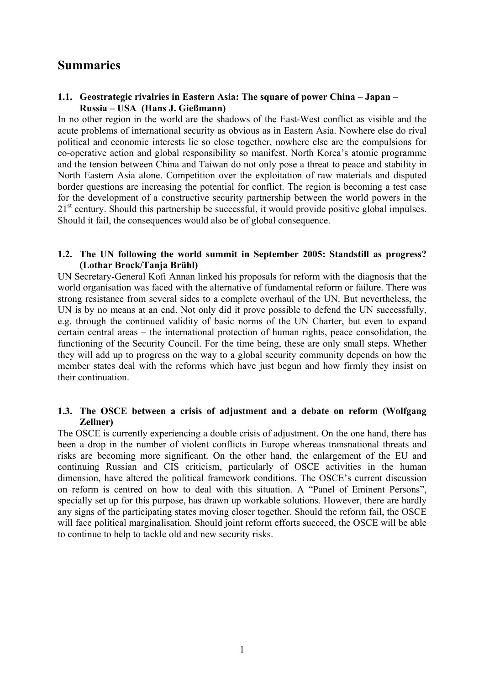# **Summaries**

# **1.1. Geostrategic rivalries in Eastern Asia: The square of power China – Japan – Russia – USA (Hans J. Gießmann)**

In no other region in the world are the shadows of the East-West conflict as visible and the acute problems of international security as obvious as in Eastern Asia. Nowhere else do rival political and economic interests lie so close together, nowhere else are the compulsions for co-operative action and global responsibility so manifest. North Korea's atomic programme and the tension between China and Taiwan do not only pose a threat to peace and stability in North Eastern Asia alone. Competition over the exploitation of raw materials and disputed border questions are increasing the potential for conflict. The region is becoming a test case for the development of a constructive security partnership between the world powers in the 21<sup>st</sup> century. Should this partnership be successful, it would provide positive global impulses. Should it fail, the consequences would also be of global consequence.

# **1.2. The UN following the world summit in September 2005: Standstill as progress? (Lothar Brock/Tanja Brühl)**

UN Secretary-General Kofi Annan linked his proposals for reform with the diagnosis that the world organisation was faced with the alternative of fundamental reform or failure. There was strong resistance from several sides to a complete overhaul of the UN. But nevertheless, the UN is by no means at an end. Not only did it prove possible to defend the UN successfully, e.g. through the continued validity of basic norms of the UN Charter, but even to expand certain central areas – the international protection of human rights, peace consolidation, the functioning of the Security Council. For the time being, these are only small steps. Whether they will add up to progress on the way to a global security community depends on how the member states deal with the reforms which have just begun and how firmly they insist on their continuation.

#### **1.3. The OSCE between a crisis of adjustment and a debate on reform (Wolfgang Zellner)**

The OSCE is currently experiencing a double crisis of adjustment. On the one hand, there has been a drop in the number of violent conflicts in Europe whereas transnational threats and risks are becoming more significant. On the other hand, the enlargement of the EU and continuing Russian and CIS criticism, particularly of OSCE activities in the human dimension, have altered the political framework conditions. The OSCE's current discussion on reform is centred on how to deal with this situation. A "Panel of Eminent Persons", specially set up for this purpose, has drawn up workable solutions. However, there are hardly any signs of the participating states moving closer together. Should the reform fail, the OSCE will face political marginalisation. Should joint reform efforts succeed, the OSCE will be able to continue to help to tackle old and new security risks.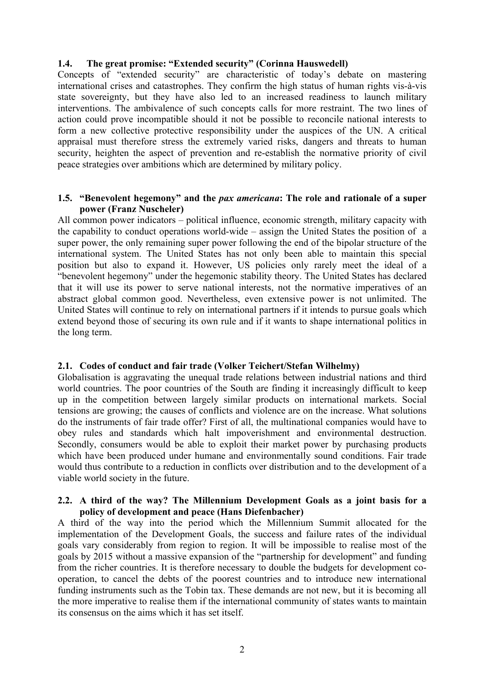# **1.4. The great promise: "Extended security" (Corinna Hauswedell)**

Concepts of "extended security" are characteristic of today's debate on mastering international crises and catastrophes. They confirm the high status of human rights vis-à-vis state sovereignty, but they have also led to an increased readiness to launch military interventions. The ambivalence of such concepts calls for more restraint. The two lines of action could prove incompatible should it not be possible to reconcile national interests to form a new collective protective responsibility under the auspices of the UN. A critical appraisal must therefore stress the extremely varied risks, dangers and threats to human security, heighten the aspect of prevention and re-establish the normative priority of civil peace strategies over ambitions which are determined by military policy.

# **1.5. "Benevolent hegemony" and the** *pax americana***: The role and rationale of a super power (Franz Nuscheler)**

All common power indicators – political influence, economic strength, military capacity with the capability to conduct operations world-wide – assign the United States the position of a super power, the only remaining super power following the end of the bipolar structure of the international system. The United States has not only been able to maintain this special position but also to expand it. However, US policies only rarely meet the ideal of a "benevolent hegemony" under the hegemonic stability theory. The United States has declared that it will use its power to serve national interests, not the normative imperatives of an abstract global common good. Nevertheless, even extensive power is not unlimited. The United States will continue to rely on international partners if it intends to pursue goals which extend beyond those of securing its own rule and if it wants to shape international politics in the long term.

# **2.1. Codes of conduct and fair trade (Volker Teichert/Stefan Wilhelmy)**

Globalisation is aggravating the unequal trade relations between industrial nations and third world countries. The poor countries of the South are finding it increasingly difficult to keep up in the competition between largely similar products on international markets. Social tensions are growing; the causes of conflicts and violence are on the increase. What solutions do the instruments of fair trade offer? First of all, the multinational companies would have to obey rules and standards which halt impoverishment and environmental destruction. Secondly, consumers would be able to exploit their market power by purchasing products which have been produced under humane and environmentally sound conditions. Fair trade would thus contribute to a reduction in conflicts over distribution and to the development of a viable world society in the future.

#### **2.2. A third of the way? The Millennium Development Goals as a joint basis for a policy of development and peace (Hans Diefenbacher)**

A third of the way into the period which the Millennium Summit allocated for the implementation of the Development Goals, the success and failure rates of the individual goals vary considerably from region to region. It will be impossible to realise most of the goals by 2015 without a massive expansion of the "partnership for development" and funding from the richer countries. It is therefore necessary to double the budgets for development cooperation, to cancel the debts of the poorest countries and to introduce new international funding instruments such as the Tobin tax. These demands are not new, but it is becoming all the more imperative to realise them if the international community of states wants to maintain its consensus on the aims which it has set itself.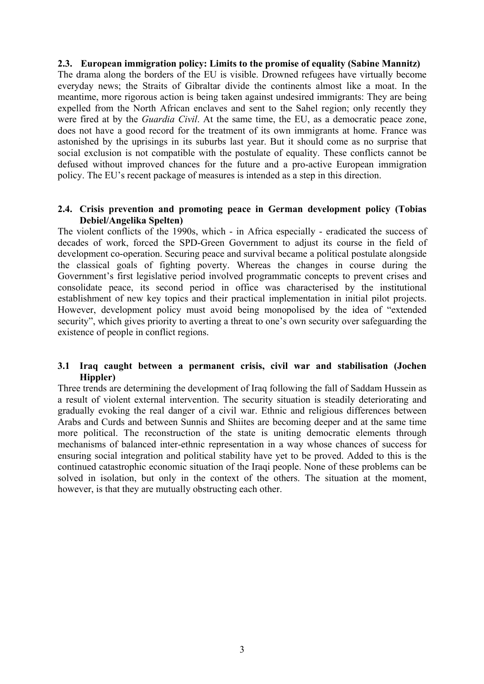# **2.3. European immigration policy: Limits to the promise of equality (Sabine Mannitz)**

The drama along the borders of the EU is visible. Drowned refugees have virtually become everyday news; the Straits of Gibraltar divide the continents almost like a moat. In the meantime, more rigorous action is being taken against undesired immigrants: They are being expelled from the North African enclaves and sent to the Sahel region; only recently they were fired at by the *Guardia Civil*. At the same time, the EU, as a democratic peace zone, does not have a good record for the treatment of its own immigrants at home. France was astonished by the uprisings in its suburbs last year. But it should come as no surprise that social exclusion is not compatible with the postulate of equality. These conflicts cannot be defused without improved chances for the future and a pro-active European immigration policy. The EU's recent package of measures is intended as a step in this direction.

# **2.4. Crisis prevention and promoting peace in German development policy (Tobias Debiel/Angelika Spelten)**

The violent conflicts of the 1990s, which - in Africa especially - eradicated the success of decades of work, forced the SPD-Green Government to adjust its course in the field of development co-operation. Securing peace and survival became a political postulate alongside the classical goals of fighting poverty. Whereas the changes in course during the Government's first legislative period involved programmatic concepts to prevent crises and consolidate peace, its second period in office was characterised by the institutional establishment of new key topics and their practical implementation in initial pilot projects. However, development policy must avoid being monopolised by the idea of "extended security", which gives priority to averting a threat to one's own security over safeguarding the existence of people in conflict regions.

# **3.1 Iraq caught between a permanent crisis, civil war and stabilisation (Jochen Hippler)**

Three trends are determining the development of Iraq following the fall of Saddam Hussein as a result of violent external intervention. The security situation is steadily deteriorating and gradually evoking the real danger of a civil war. Ethnic and religious differences between Arabs and Curds and between Sunnis and Shiites are becoming deeper and at the same time more political. The reconstruction of the state is uniting democratic elements through mechanisms of balanced inter-ethnic representation in a way whose chances of success for ensuring social integration and political stability have yet to be proved. Added to this is the continued catastrophic economic situation of the Iraqi people. None of these problems can be solved in isolation, but only in the context of the others. The situation at the moment, however, is that they are mutually obstructing each other.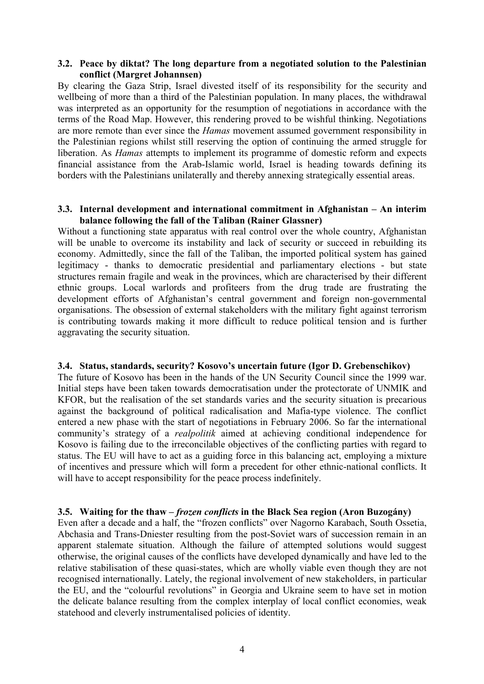# **3.2. Peace by diktat? The long departure from a negotiated solution to the Palestinian conflict (Margret Johannsen)**

By clearing the Gaza Strip, Israel divested itself of its responsibility for the security and wellbeing of more than a third of the Palestinian population. In many places, the withdrawal was interpreted as an opportunity for the resumption of negotiations in accordance with the terms of the Road Map. However, this rendering proved to be wishful thinking. Negotiations are more remote than ever since the *Hamas* movement assumed government responsibility in the Palestinian regions whilst still reserving the option of continuing the armed struggle for liberation. As *Hamas* attempts to implement its programme of domestic reform and expects financial assistance from the Arab-Islamic world, Israel is heading towards defining its borders with the Palestinians unilaterally and thereby annexing strategically essential areas.

#### **3.3. Internal development and international commitment in Afghanistan – An interim balance following the fall of the Taliban (Rainer Glassner)**

Without a functioning state apparatus with real control over the whole country, Afghanistan will be unable to overcome its instability and lack of security or succeed in rebuilding its economy. Admittedly, since the fall of the Taliban, the imported political system has gained legitimacy - thanks to democratic presidential and parliamentary elections - but state structures remain fragile and weak in the provinces, which are characterised by their different ethnic groups. Local warlords and profiteers from the drug trade are frustrating the development efforts of Afghanistan's central government and foreign non-governmental organisations. The obsession of external stakeholders with the military fight against terrorism is contributing towards making it more difficult to reduce political tension and is further aggravating the security situation.

#### **3.4. Status, standards, security? Kosovo's uncertain future (Igor D. Grebenschikov)**

The future of Kosovo has been in the hands of the UN Security Council since the 1999 war. Initial steps have been taken towards democratisation under the protectorate of UNMIK and KFOR, but the realisation of the set standards varies and the security situation is precarious against the background of political radicalisation and Mafia-type violence. The conflict entered a new phase with the start of negotiations in February 2006. So far the international community's strategy of a *realpolitik* aimed at achieving conditional independence for Kosovo is failing due to the irreconcilable objectives of the conflicting parties with regard to status. The EU will have to act as a guiding force in this balancing act, employing a mixture of incentives and pressure which will form a precedent for other ethnic-national conflicts. It will have to accept responsibility for the peace process indefinitely.

#### **3.5. Waiting for the thaw –** *frozen conflicts* **in the Black Sea region (Aron Buzogány)**

Even after a decade and a half, the "frozen conflicts" over Nagorno Karabach, South Ossetia, Abchasia and Trans-Dniester resulting from the post-Soviet wars of succession remain in an apparent stalemate situation. Although the failure of attempted solutions would suggest otherwise, the original causes of the conflicts have developed dynamically and have led to the relative stabilisation of these quasi-states, which are wholly viable even though they are not recognised internationally. Lately, the regional involvement of new stakeholders, in particular the EU, and the "colourful revolutions" in Georgia and Ukraine seem to have set in motion the delicate balance resulting from the complex interplay of local conflict economies, weak statehood and cleverly instrumentalised policies of identity.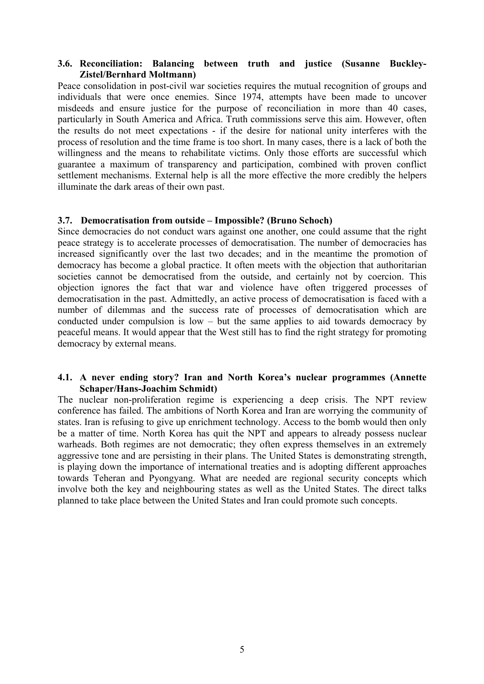# **3.6. Reconciliation: Balancing between truth and justice (Susanne Buckley-Zistel/Bernhard Moltmann)**

Peace consolidation in post-civil war societies requires the mutual recognition of groups and individuals that were once enemies. Since 1974, attempts have been made to uncover misdeeds and ensure justice for the purpose of reconciliation in more than 40 cases, particularly in South America and Africa. Truth commissions serve this aim. However, often the results do not meet expectations - if the desire for national unity interferes with the process of resolution and the time frame is too short. In many cases, there is a lack of both the willingness and the means to rehabilitate victims. Only those efforts are successful which guarantee a maximum of transparency and participation, combined with proven conflict settlement mechanisms. External help is all the more effective the more credibly the helpers illuminate the dark areas of their own past.

#### **3.7. Democratisation from outside – Impossible? (Bruno Schoch)**

Since democracies do not conduct wars against one another, one could assume that the right peace strategy is to accelerate processes of democratisation. The number of democracies has increased significantly over the last two decades; and in the meantime the promotion of democracy has become a global practice. It often meets with the objection that authoritarian societies cannot be democratised from the outside, and certainly not by coercion. This objection ignores the fact that war and violence have often triggered processes of democratisation in the past. Admittedly, an active process of democratisation is faced with a number of dilemmas and the success rate of processes of democratisation which are conducted under compulsion is low – but the same applies to aid towards democracy by peaceful means. It would appear that the West still has to find the right strategy for promoting democracy by external means.

#### **4.1. A never ending story? Iran and North Korea's nuclear programmes (Annette Schaper/Hans-Joachim Schmidt)**

The nuclear non-proliferation regime is experiencing a deep crisis. The NPT review conference has failed. The ambitions of North Korea and Iran are worrying the community of states. Iran is refusing to give up enrichment technology. Access to the bomb would then only be a matter of time. North Korea has quit the NPT and appears to already possess nuclear warheads. Both regimes are not democratic; they often express themselves in an extremely aggressive tone and are persisting in their plans. The United States is demonstrating strength, is playing down the importance of international treaties and is adopting different approaches towards Teheran and Pyongyang. What are needed are regional security concepts which involve both the key and neighbouring states as well as the United States. The direct talks planned to take place between the United States and Iran could promote such concepts.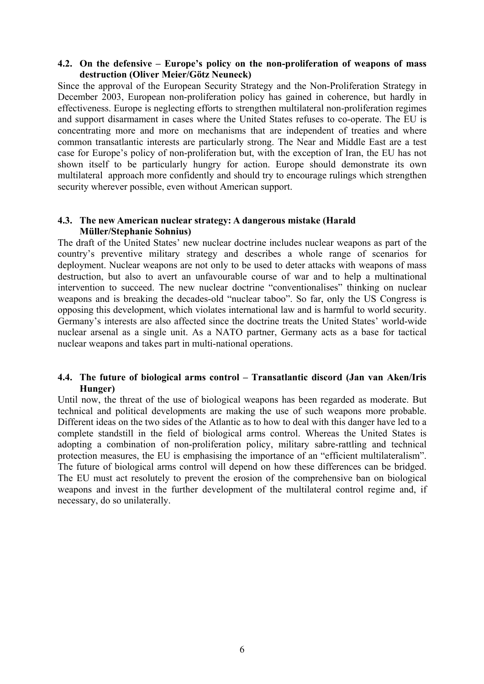# **4.2. On the defensive – Europe's policy on the non-proliferation of weapons of mass destruction (Oliver Meier/Götz Neuneck)**

Since the approval of the European Security Strategy and the Non-Proliferation Strategy in December 2003, European non-proliferation policy has gained in coherence, but hardly in effectiveness. Europe is neglecting efforts to strengthen multilateral non-proliferation regimes and support disarmament in cases where the United States refuses to co-operate. The EU is concentrating more and more on mechanisms that are independent of treaties and where common transatlantic interests are particularly strong. The Near and Middle East are a test case for Europe's policy of non-proliferation but, with the exception of Iran, the EU has not shown itself to be particularly hungry for action. Europe should demonstrate its own multilateral approach more confidently and should try to encourage rulings which strengthen security wherever possible, even without American support.

#### **4.3. The new American nuclear strategy: A dangerous mistake (Harald Müller/Stephanie Sohnius)**

The draft of the United States' new nuclear doctrine includes nuclear weapons as part of the country's preventive military strategy and describes a whole range of scenarios for deployment. Nuclear weapons are not only to be used to deter attacks with weapons of mass destruction, but also to avert an unfavourable course of war and to help a multinational intervention to succeed. The new nuclear doctrine "conventionalises" thinking on nuclear weapons and is breaking the decades-old "nuclear taboo". So far, only the US Congress is opposing this development, which violates international law and is harmful to world security. Germany's interests are also affected since the doctrine treats the United States' world-wide nuclear arsenal as a single unit. As a NATO partner, Germany acts as a base for tactical nuclear weapons and takes part in multi-national operations.

#### **4.4. The future of biological arms control – Transatlantic discord (Jan van Aken/Iris Hunger)**

Until now, the threat of the use of biological weapons has been regarded as moderate. But technical and political developments are making the use of such weapons more probable. Different ideas on the two sides of the Atlantic as to how to deal with this danger have led to a complete standstill in the field of biological arms control. Whereas the United States is adopting a combination of non-proliferation policy, military sabre-rattling and technical protection measures, the EU is emphasising the importance of an "efficient multilateralism". The future of biological arms control will depend on how these differences can be bridged. The EU must act resolutely to prevent the erosion of the comprehensive ban on biological weapons and invest in the further development of the multilateral control regime and, if necessary, do so unilaterally.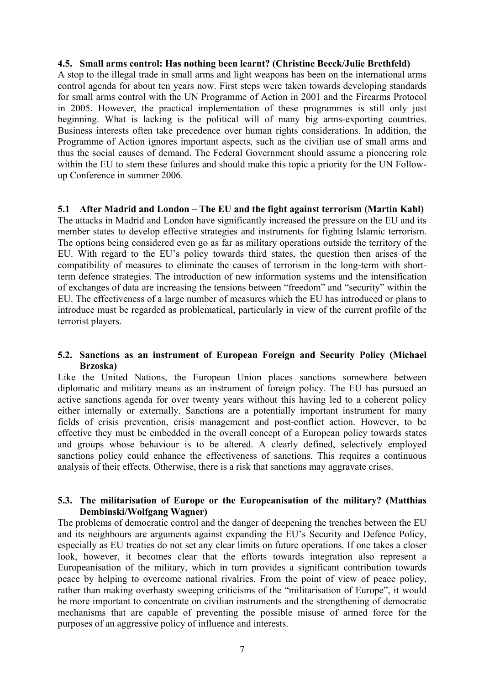#### **4.5. Small arms control: Has nothing been learnt? (Christine Beeck/Julie Brethfeld)**

A stop to the illegal trade in small arms and light weapons has been on the international arms control agenda for about ten years now. First steps were taken towards developing standards for small arms control with the UN Programme of Action in 2001 and the Firearms Protocol in 2005. However, the practical implementation of these programmes is still only just beginning. What is lacking is the political will of many big arms-exporting countries. Business interests often take precedence over human rights considerations. In addition, the Programme of Action ignores important aspects, such as the civilian use of small arms and thus the social causes of demand. The Federal Government should assume a pioneering role within the EU to stem these failures and should make this topic a priority for the UN Followup Conference in summer 2006.

#### **5.1 After Madrid and London – The EU and the fight against terrorism (Martin Kahl)**

The attacks in Madrid and London have significantly increased the pressure on the EU and its member states to develop effective strategies and instruments for fighting Islamic terrorism. The options being considered even go as far as military operations outside the territory of the EU. With regard to the EU's policy towards third states, the question then arises of the compatibility of measures to eliminate the causes of terrorism in the long-term with shortterm defence strategies. The introduction of new information systems and the intensification of exchanges of data are increasing the tensions between "freedom" and "security" within the EU. The effectiveness of a large number of measures which the EU has introduced or plans to introduce must be regarded as problematical, particularly in view of the current profile of the terrorist players.

#### **5.2. Sanctions as an instrument of European Foreign and Security Policy (Michael Brzoska)**

Like the United Nations, the European Union places sanctions somewhere between diplomatic and military means as an instrument of foreign policy. The EU has pursued an active sanctions agenda for over twenty years without this having led to a coherent policy either internally or externally. Sanctions are a potentially important instrument for many fields of crisis prevention, crisis management and post-conflict action. However, to be effective they must be embedded in the overall concept of a European policy towards states and groups whose behaviour is to be altered. A clearly defined, selectively employed sanctions policy could enhance the effectiveness of sanctions. This requires a continuous analysis of their effects. Otherwise, there is a risk that sanctions may aggravate crises.

#### **5.3. The militarisation of Europe or the Europeanisation of the military? (Matthias Dembinski/Wolfgang Wagner)**

The problems of democratic control and the danger of deepening the trenches between the EU and its neighbours are arguments against expanding the EU's Security and Defence Policy, especially as EU treaties do not set any clear limits on future operations. If one takes a closer look, however, it becomes clear that the efforts towards integration also represent a Europeanisation of the military, which in turn provides a significant contribution towards peace by helping to overcome national rivalries. From the point of view of peace policy, rather than making overhasty sweeping criticisms of the "militarisation of Europe", it would be more important to concentrate on civilian instruments and the strengthening of democratic mechanisms that are capable of preventing the possible misuse of armed force for the purposes of an aggressive policy of influence and interests.